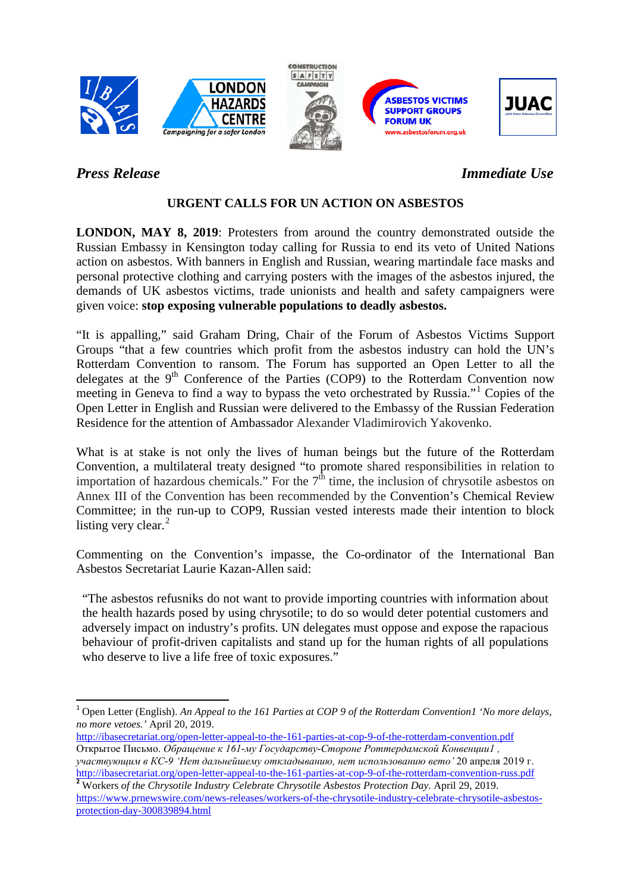







## *Press Release Immediate Use*

## **URGENT CALLS FOR UN ACTION ON ASBESTOS**

**LONDON, MAY 8, 2019**: Protesters from around the country demonstrated outside the Russian Embassy in Kensington today calling for Russia to end its veto of United Nations action on asbestos. With banners in English and Russian, wearing martindale face masks and personal protective clothing and carrying posters with the images of the asbestos injured, the demands of UK asbestos victims, trade unionists and health and safety campaigners were given voice: **stop exposing vulnerable populations to deadly asbestos.** 

"It is appalling," said Graham Dring, Chair of the Forum of Asbestos Victims Support Groups "that a few countries which profit from the asbestos industry can hold the UN's Rotterdam Convention to ransom. The Forum has supported an Open Letter to all the delegates at the  $9<sup>th</sup>$  Conference of the Parties (COP9) to the Rotterdam Convention now meeting in Geneva to find a way to bypass the veto orchestrated by Russia."[1](#page-0-0) Copies of the Open Letter in English and Russian were delivered to the Embassy of the Russian Federation Residence for the attention of Ambassador Alexander Vladimirovich Yakovenko.

What is at stake is not only the lives of human beings but the future of the Rotterdam Convention, a multilateral treaty designed "to promote shared responsibilities in relation to importation of hazardous chemicals." For the  $7<sup>th</sup>$  time, the inclusion of chrysotile asbestos on Annex III of the Convention has been recommended by the Convention's Chemical Review Committee; in the run-up to COP9, Russian vested interests made their intention to block listing very clear. $<sup>2</sup>$  $<sup>2</sup>$  $<sup>2</sup>$ </sup>

Commenting on the Convention's impasse, the Co-ordinator of the International Ban Asbestos Secretariat Laurie Kazan-Allen said:

"The asbestos refusniks do not want to provide importing countries with information about the health hazards posed by using chrysotile; to do so would deter potential customers and adversely impact on industry's profits. UN delegates must oppose and expose the rapacious behaviour of profit-driven capitalists and stand up for the human rights of all populations who deserve to live a life free of toxic exposures."

<span id="page-0-0"></span> <sup>1</sup> Open Letter (English). *An Appeal to the 161 Parties at COP 9 of the Rotterdam Convention1 'No more delays, no more vetoes.'* April 20, 2019.

<http://ibasecretariat.org/open-letter-appeal-to-the-161-parties-at-cop-9-of-the-rotterdam-convention.pdf> Открытое Письмо. *Обращение к 161-му Государству-Стороне Роттердамской Конвенции1 , участвующим в КС-9 'Нет дальнейшему откладыванию, нет использованию вето'* 20 апреля 2019 г.

<span id="page-0-1"></span><http://ibasecretariat.org/open-letter-appeal-to-the-161-parties-at-cop-9-of-the-rotterdam-convention-russ.pdf> **<sup>2</sup>** Workers *of the Chrysotile Industry Celebrate Chrysotile Asbestos Protection Day.* April 29, 2019. [https://www.prnewswire.com/news-releases/workers-of-the-chrysotile-industry-celebrate-chrysotile-asbestos](https://www.prnewswire.com/news-releases/workers-of-the-chrysotile-industry-celebrate-chrysotile-asbestos-protection-day-300839894.html)[protection-day-300839894.html](https://www.prnewswire.com/news-releases/workers-of-the-chrysotile-industry-celebrate-chrysotile-asbestos-protection-day-300839894.html)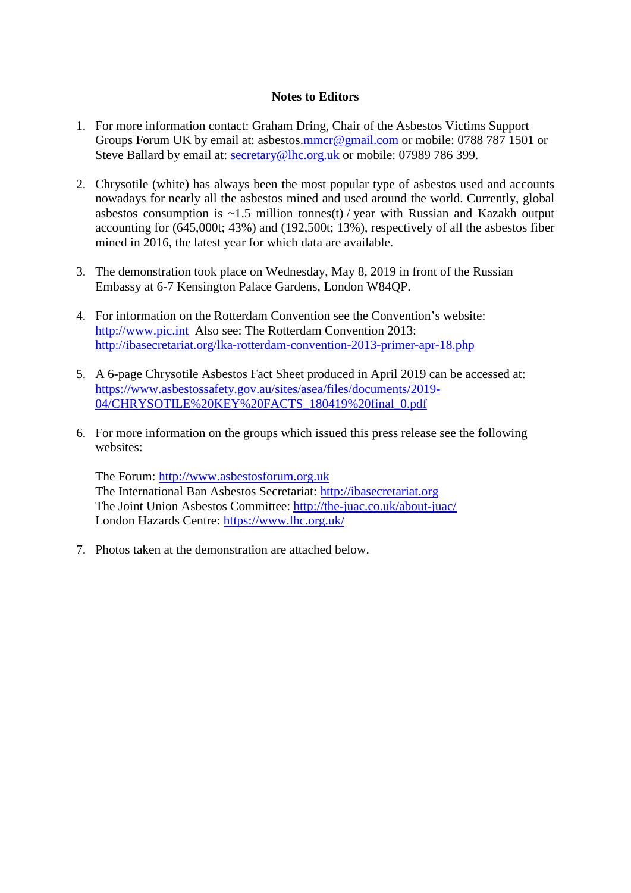## **Notes to Editors**

- 1. For more information contact: Graham Dring, Chair of the Asbestos Victims Support Groups Forum UK by email at: asbestos[.mmcr@gmail.com](mailto:mmcr@gmail.com) or mobile: 0788 787 1501 or Steve Ballard by email at: [secretary@lhc.org.uk](mailto:secretary@lhc.org.uk) or mobile: 07989 786 399.
- 2. Chrysotile (white) has always been the most popular type of asbestos used and accounts nowadays for nearly all the asbestos mined and used around the world. Currently, global asbestos consumption is  $\sim$ 1.5 million tonnes(t) / year with Russian and Kazakh output accounting for (645,000t; 43%) and (192,500t; 13%), respectively of all the asbestos fiber mined in 2016, the latest year for which data are available.
- 3. The demonstration took place on Wednesday, May 8, 2019 in front of the Russian Embassy at 6-7 Kensington Palace Gardens, London W84QP.
- 4. For information on the Rotterdam Convention see the Convention's website: [http://www.pic.int](http://www.pic.int/) Also see: The Rotterdam Convention 2013: <http://ibasecretariat.org/lka-rotterdam-convention-2013-primer-apr-18.php>
- 5. A 6-page Chrysotile Asbestos Fact Sheet produced in April 2019 can be accessed at: [https://www.asbestossafety.gov.au/sites/asea/files/documents/2019-](https://www.asbestossafety.gov.au/sites/asea/files/documents/2019-04/CHRYSOTILE%20KEY%20FACTS_180419%20final_0.pdf) [04/CHRYSOTILE%20KEY%20FACTS\\_180419%20final\\_0.pdf](https://www.asbestossafety.gov.au/sites/asea/files/documents/2019-04/CHRYSOTILE%20KEY%20FACTS_180419%20final_0.pdf)
- 6. For more information on the groups which issued this press release see the following websites:

The Forum: [http://www.asbestosforum.org.uk](http://www.asbestosforum.org.uk/) The International Ban Asbestos Secretariat: [http://ibasecretariat.org](http://ibasecretariat.org/) The Joint Union Asbestos Committee:<http://the-juac.co.uk/about-juac/> London Hazards Centre:<https://www.lhc.org.uk/>

7. Photos taken at the demonstration are attached below.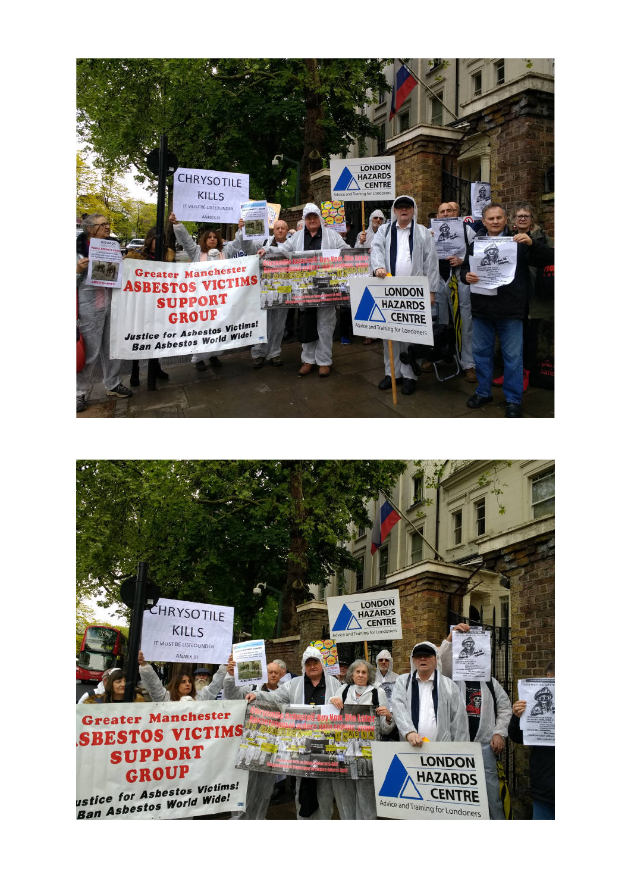